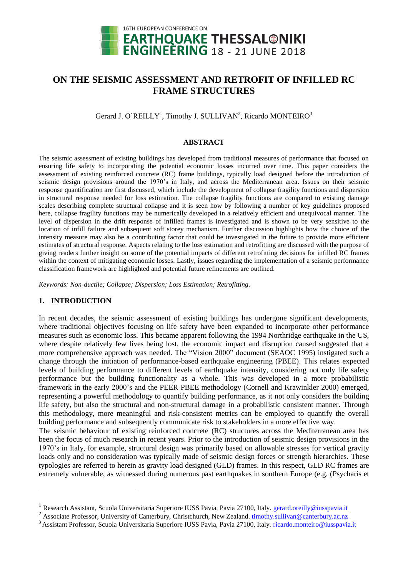

# **ON THE SEISMIC ASSESSMENT AND RETROFIT OF INFILLED RC FRAME STRUCTURES**

Gerard J. O'REILLY<sup>1</sup>, Timothy J. SULLIVAN<sup>2</sup>, Ricardo MONTEIRO<sup>3</sup>

#### **ABSTRACT**

The seismic assessment of existing buildings has developed from traditional measures of performance that focused on ensuring life safety to incorporating the potential economic losses incurred over time. This paper considers the assessment of existing reinforced concrete (RC) frame buildings, typically load designed before the introduction of seismic design provisions around the 1970's in Italy, and across the Mediterranean area. Issues on their seismic response quantification are first discussed, which include the development of collapse fragility functions and dispersion in structural response needed for loss estimation. The collapse fragility functions are compared to existing damage scales describing complete structural collapse and it is seen how by following a number of key guidelines proposed here, collapse fragility functions may be numerically developed in a relatively efficient and unequivocal manner. The level of dispersion in the drift response of infilled frames is investigated and is shown to be very sensitive to the location of infill failure and subsequent soft storey mechanism. Further discussion highlights how the choice of the intensity measure may also be a contributing factor that could be investigated in the future to provide more efficient estimates of structural response. Aspects relating to the loss estimation and retrofitting are discussed with the purpose of giving readers further insight on some of the potential impacts of different retrofitting decisions for infilled RC frames within the context of mitigating economic losses. Lastly, issues regarding the implementation of a seismic performance classification framework are highlighted and potential future refinements are outlined.

*Keywords: Non-ductile; Collapse; Dispersion; Loss Estimation; Retrofitting.*

#### **1. INTRODUCTION**

1

In recent decades, the seismic assessment of existing buildings has undergone significant developments, where traditional objectives focusing on life safety have been expanded to incorporate other performance measures such as economic loss. This became apparent following the 1994 Northridge earthquake in the US, where despite relatively few lives being lost, the economic impact and disruption caused suggested that a more comprehensive approach was needed. The "Vision 2000" document (SEAOC 1995) instigated such a change through the initiation of performance-based earthquake engineering (PBEE). This relates expected levels of building performance to different levels of earthquake intensity, considering not only life safety performance but the building functionality as a whole. This was developed in a more probabilistic framework in the early 2000's and the PEER PBEE methodology (Cornell and Krawinkler 2000) emerged, representing a powerful methodology to quantify building performance, as it not only considers the building life safety, but also the structural and non-structural damage in a probabilistic consistent manner. Through this methodology, more meaningful and risk-consistent metrics can be employed to quantify the overall building performance and subsequently communicate risk to stakeholders in a more effective way.

The seismic behaviour of existing reinforced concrete (RC) structures across the Mediterranean area has been the focus of much research in recent years. Prior to the introduction of seismic design provisions in the 1970's in Italy, for example, structural design was primarily based on allowable stresses for vertical gravity loads only and no consideration was typically made of seismic design forces or strength hierarchies. These typologies are referred to herein as gravity load designed (GLD) frames. In this respect, GLD RC frames are extremely vulnerable, as witnessed during numerous past earthquakes in southern Europe (e.g. (Psycharis et

<sup>&</sup>lt;sup>1</sup> Research Assistant, Scuola Universitaria Superiore IUSS Pavia, Pavia 27100, Italy. gerard.oreilly@iusspavia.it

<sup>&</sup>lt;sup>2</sup> Associate Professor, University of Canterbury, Christchurch, New Zealand. timothy.sullivan@canterbury.ac.nz

<sup>&</sup>lt;sup>3</sup> Assistant Professor, Scuola Universitaria Superiore IUSS Pavia, Pavia 27100, Italy. ricardo.monteiro@iusspavia.it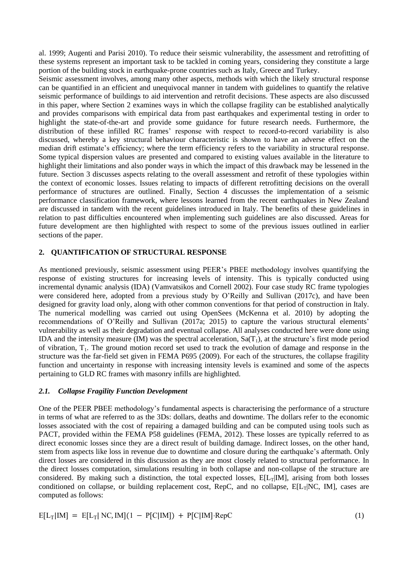al. 1999; Augenti and Parisi 2010). To reduce their seismic vulnerability, the assessment and retrofitting of these systems represent an important task to be tackled in coming years, considering they constitute a large portion of the building stock in earthquake-prone countries such as Italy, Greece and Turkey.

Seismic assessment involves, among many other aspects, methods with which the likely structural response can be quantified in an efficient and unequivocal manner in tandem with guidelines to quantify the relative seismic performance of buildings to aid intervention and retrofit decisions. These aspects are also discussed in this paper, where Section [2](#page-1-0) examines ways in which the collapse fragility can be established analytically and provides comparisons with empirical data from past earthquakes and experimental testing in order to highlight the state-of-the-art and provide some guidance for future research needs. Furthermore, the distribution of these infilled RC frames' response with respect to record-to-record variability is also discussed, whereby a key structural behaviour characteristic is shown to have an adverse effect on the median drift estimate's efficiency; where the term efficiency refers to the variability in structural response. Some typical dispersion values are presented and compared to existing values available in the literature to highlight their limitations and also ponder ways in which the impact of this drawback may be lessened in the future. Section [3](#page-6-0) discusses aspects relating to the overall assessment and retrofit of these typologies within the context of economic losses. Issues relating to impacts of different retrofitting decisions on the overall performance of structures are outlined. Finally, Section [4](#page-7-0) discusses the implementation of a seismic performance classification framework, where lessons learned from the recent earthquakes in New Zealand are discussed in tandem with the recent guidelines introduced in Italy. The benefits of these guidelines in relation to past difficulties encountered when implementing such guidelines are also discussed. Areas for future development are then highlighted with respect to some of the previous issues outlined in earlier sections of the paper.

### <span id="page-1-0"></span>**2. QUANTIFICATION OF STRUCTURAL RESPONSE**

As mentioned previously, seismic assessment using PEER's PBEE methodology involves quantifying the response of existing structures for increasing levels of intensity. This is typically conducted using incremental dynamic analysis (IDA) (Vamvatsikos and Cornell 2002). Four case study RC frame typologies were considered here, adopted from a previous study by O'Reilly and Sullivan (2017c), and have been designed for gravity load only, along with other common conventions for that period of construction in Italy. The numerical modelling was carried out using OpenSees (McKenna et al. 2010) by adopting the recommendations of O'Reilly and Sullivan (2017a; 2015) to capture the various structural elements' vulnerability as well as their degradation and eventual collapse. All analyses conducted here were done using IDA and the intensity measure (IM) was the spectral acceleration,  $Sa(T_1)$ , at the structure's first mode period of vibration,  $T_1$ . The ground motion record set used to track the evolution of damage and response in the structure was the far-field set given in FEMA P695 (2009). For each of the structures, the collapse fragility function and uncertainty in response with increasing intensity levels is examined and some of the aspects pertaining to GLD RC frames with masonry infills are highlighted.

## <span id="page-1-1"></span>*2.1. Collapse Fragility Function Development*

One of the PEER PBEE methodology's fundamental aspects is characterising the performance of a structure in terms of what are referred to as the 3Ds: dollars, deaths and downtime. The dollars refer to the economic losses associated with the cost of repairing a damaged building and can be computed using tools such as PACT, provided within the FEMA P58 guidelines (FEMA, 2012). These losses are typically referred to as direct economic losses since they are a direct result of building damage. Indirect losses, on the other hand, stem from aspects like loss in revenue due to downtime and closure during the earthquake's aftermath. Only direct losses are considered in this discussion as they are most closely related to structural performance. In the direct losses computation, simulations resulting in both collapse and non-collapse of the structure are considered. By making such a distinction, the total expected losses,  $E[L_T|IM]$ , arising from both losses conditioned on collapse, or building replacement cost, RepC, and no collapse,  $E[L_T|NC, IM]$ , cases are computed as follows:

$$
E[L_T|IM] = E[L_T| NC, IM](1 - P[C|IM]) + P[C|IM] \cdot RepC
$$
 (1)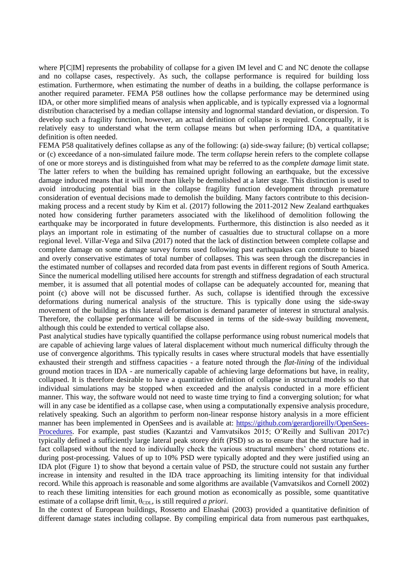where P[C|IM] represents the probability of collapse for a given IM level and C and NC denote the collapse and no collapse cases, respectively. As such, the collapse performance is required for building loss estimation. Furthermore, when estimating the number of deaths in a building, the collapse performance is another required parameter. FEMA P58 outlines how the collapse performance may be determined using IDA, or other more simplified means of analysis when applicable, and is typically expressed via a lognormal distribution characterised by a median collapse intensity and lognormal standard deviation, or dispersion. To develop such a fragility function, however, an actual definition of collapse is required. Conceptually, it is relatively easy to understand what the term collapse means but when performing IDA, a quantitative definition is often needed.

FEMA P58 qualitatively defines collapse as any of the following: (a) side-sway failure; (b) vertical collapse; or (c) exceedance of a non-simulated failure mode. The term *collapse* herein refers to the complete collapse of one or more storeys and is distinguished from what may be referred to as the *complete damage* limit state. The latter refers to when the building has remained upright following an earthquake, but the excessive damage induced means that it will more than likely be demolished at a later stage. This distinction is used to avoid introducing potential bias in the collapse fragility function development through premature consideration of eventual decisions made to demolish the building. Many factors contribute to this decisionmaking process and a recent study by Kim et al. (2017) following the 2011-2012 New Zealand earthquakes noted how considering further parameters associated with the likelihood of demolition following the earthquake may be incorporated in future developments. Furthermore, this distinction is also needed as it plays an important role in estimating of the number of casualties due to structural collapse on a more regional level. Villar-Vega and Silva (2017) noted that the lack of distinction between complete collapse and complete damage on some damage survey forms used following past earthquakes can contribute to biased and overly conservative estimates of total number of collapses. This was seen through the discrepancies in the estimated number of collapses and recorded data from past events in different regions of South America. Since the numerical modelling utilised here accounts for strength and stiffness degradation of each structural member, it is assumed that all potential modes of collapse can be adequately accounted for, meaning that point (c) above will not be discussed further. As such, collapse is identified through the excessive deformations during numerical analysis of the structure. This is typically done using the side-sway movement of the building as this lateral deformation is demand parameter of interest in structural analysis. Therefore, the collapse performance will be discussed in terms of the side-sway building movement, although this could be extended to vertical collapse also.

Past analytical studies have typically quantified the collapse performance using robust numerical models that are capable of achieving large values of lateral displacement without much numerical difficulty through the use of convergence algorithms. This typically results in cases where structural models that have essentially exhausted their strength and stiffness capacities - a feature noted through the *flat-lining* of the individual ground motion traces in IDA - are numerically capable of achieving large deformations but have, in reality, collapsed. It is therefore desirable to have a quantitative definition of collapse in structural models so that individual simulations may be stopped when exceeded and the analysis conducted in a more efficient manner. This way, the software would not need to waste time trying to find a converging solution; for what will in any case be identified as a collapse case, when using a computationally expensive analysis procedure, relatively speaking. Such an algorithm to perform non-linear response history analysis in a more efficient manner has been implemented in OpenSees and is available at: [https://github.com/gerardjoreilly/OpenSees-](https://github.com/gerardjoreilly/OpenSees-Procedures)[Procedures.](https://github.com/gerardjoreilly/OpenSees-Procedures) For example, past studies (Kazantzi and Vamvatsikos 2015; O'Reilly and Sullivan 2017c) typically defined a sufficiently large lateral peak storey drift (PSD) so as to ensure that the structure had in fact collapsed without the need to individually check the various structural members' chord rotations etc. during post-processing. Values of up to 10% PSD were typically adopted and they were justified using an IDA plot [\(Figure 1\)](#page-3-0) to show that beyond a certain value of PSD, the structure could not sustain any further increase in intensity and resulted in the IDA trace approaching its limiting intensity for that individual record. While this approach is reasonable and some algorithms are available (Vamvatsikos and Cornell 2002) to reach these limiting intensities for each ground motion as economically as possible, some quantitative estimate of a collapse drift limit,  $\theta_{CDL}$ , is still required *a priori*.

In the context of European buildings, Rossetto and Elnashai (2003) provided a quantitative definition of different damage states including collapse. By compiling empirical data from numerous past earthquakes,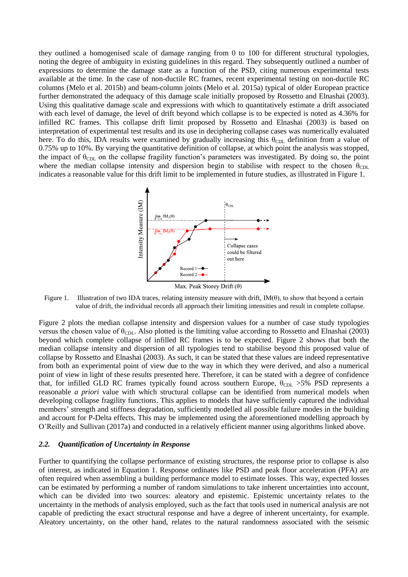they outlined a homogenised scale of damage ranging from 0 to 100 for different structural typologies, noting the degree of ambiguity in existing guidelines in this regard. They subsequently outlined a number of expressions to determine the damage state as a function of the PSD, citing numerous experimental tests available at the time. In the case of non-ductile RC frames, recent experimental testing on non-ductile RC columns (Melo et al. 2015b) and beam-column joints (Melo et al. 2015a) typical of older European practice further demonstrated the adequacy of this damage scale initially proposed by Rossetto and Elnashai (2003). Using this qualitative damage scale and expressions with which to quantitatively estimate a drift associated with each level of damage, the level of drift beyond which collapse is to be expected is noted as 4.36% for infilled RC frames. This collapse drift limit proposed by Rossetto and Elnashai (2003) is based on interpretation of experimental test results and its use in deciphering collapse cases was numerically evaluated here. To do this, IDA results were examined by gradually increasing this  $\theta_{\text{CDL}}$  definition from a value of 0.75% up to 10%. By varying the quantitative definition of collapse, at which point the analysis was stopped, the impact of  $\theta_{CDL}$  on the collapse fragility function's parameters was investigated. By doing so, the point where the median collapse intensity and dispersion begin to stabilise with respect to the chosen  $\theta_{\text{CDL}}$ indicates a reasonable value for this drift limit to be implemented in future studies, as illustrated in [Figure 1.](#page-3-0)



<span id="page-3-0"></span>Figure 1. Illustration of two IDA traces, relating intensity measure with drift,  $IM(\theta)$ , to show that beyond a certain value of drift, the individual records all approach their limiting intensities and result in complete collapse.

[Figure 2](#page-4-0) plots the median collapse intensity and dispersion values for a number of case study typologies versus the chosen value of  $\theta_{CDL}$ . Also plotted is the limiting value according to Rossetto and Elnashai (2003) beyond which complete collapse of infilled RC frames is to be expected. [Figure 2](#page-4-0) shows that both the median collapse intensity and dispersion of all typologies tend to stabilise beyond this proposed value of collapse by Rossetto and Elnashai (2003). As such, it can be stated that these values are indeed representative from both an experimental point of view due to the way in which they were derived, and also a numerical point of view in light of these results presented here. Therefore, it can be stated with a degree of confidence that, for infilled GLD RC frames typically found across southern Europe,  $\theta_{CDL} > 5\%$  PSD represents a reasonable *a priori* value with which structural collapse can be identified from numerical models when developing collapse fragility functions. This applies to models that have sufficiently captured the individual members' strength and stiffness degradation, sufficiently modelled all possible failure modes in the building and account for P-Delta effects. This may be implemented using the aforementioned modelling approach by O'Reilly and Sullivan (2017a) and conducted in a relatively efficient manner using algorithms linked above.

#### <span id="page-3-1"></span>*2.2. Quantification of Uncertainty in Response*

Further to quantifying the collapse performance of existing structures, the response prior to collapse is also of interest, as indicated in Equation 1. Response ordinates like PSD and peak floor acceleration (PFA) are often required when assembling a building performance model to estimate losses. This way, expected losses can be estimated by performing a number of random simulations to take inherent uncertainties into account, which can be divided into two sources: aleatory and epistemic. Epistemic uncertainty relates to the uncertainty in the methods of analysis employed, such as the fact that tools used in numerical analysis are not capable of predicting the exact structural response and have a degree of inherent uncertainty, for example. Aleatory uncertainty, on the other hand, relates to the natural randomness associated with the seismic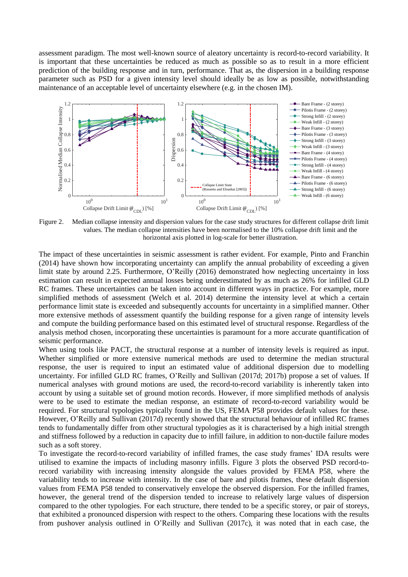assessment paradigm. The most well-known source of aleatory uncertainty is record-to-record variability. It is important that these uncertainties be reduced as much as possible so as to result in a more efficient prediction of the building response and in turn, performance. That as, the dispersion in a building response parameter such as PSD for a given intensity level should ideally be as low as possible, notwithstanding maintenance of an acceptable level of uncertainty elsewhere (e.g. in the chosen IM).



<span id="page-4-0"></span>Figure 2. Median collapse intensity and dispersion values for the case study structures for different collapse drift limit values. The median collapse intensities have been normalised to the 10% collapse drift limit and the horizontal axis plotted in log-scale for better illustration.

The impact of these uncertainties in seismic assessment is rather evident. For example, Pinto and Franchin (2014) have shown how incorporating uncertainty can amplify the annual probability of exceeding a given limit state by around 2.25. Furthermore, O'Reilly (2016) demonstrated how neglecting uncertainty in loss estimation can result in expected annual losses being underestimated by as much as 26% for infilled GLD RC frames. These uncertainties can be taken into account in different ways in practice. For example, more simplified methods of assessment (Welch et al. 2014) determine the intensity level at which a certain performance limit state is exceeded and subsequently accounts for uncertainty in a simplified manner. Other more extensive methods of assessment quantify the building response for a given range of intensity levels and compute the building performance based on this estimated level of structural response. Regardless of the analysis method chosen, incorporating these uncertainties is paramount for a more accurate quantification of seismic performance.

When using tools like PACT, the structural response at a number of intensity levels is required as input. Whether simplified or more extensive numerical methods are used to determine the median structural response, the user is required to input an estimated value of additional dispersion due to modelling uncertainty. For infilled GLD RC frames, O'Reilly and Sullivan (2017d; 2017b) propose a set of values. If numerical analyses with ground motions are used, the record-to-record variability is inherently taken into account by using a suitable set of ground motion records. However, if more simplified methods of analysis were to be used to estimate the median response, an estimate of record-to-record variability would be required. For structural typologies typically found in the US, FEMA P58 provides default values for these. However, O'Reilly and Sullivan (2017d) recently showed that the structural behaviour of infilled RC frames tends to fundamentally differ from other structural typologies as it is characterised by a high initial strength and stiffness followed by a reduction in capacity due to infill failure, in addition to non-ductile failure modes such as a soft storey.

To investigate the record-to-record variability of infilled frames, the case study frames' IDA results were utilised to examine the impacts of including masonry infills. [Figure 3](#page-5-0) plots the observed PSD record-torecord variability with increasing intensity alongside the values provided by FEMA P58, where the variability tends to increase with intensity. In the case of bare and pilotis frames, these default dispersion values from FEMA P58 tended to conservatively envelope the observed dispersion. For the infilled frames, however, the general trend of the dispersion tended to increase to relatively large values of dispersion compared to the other typologies. For each structure, there tended to be a specific storey, or pair of storeys, that exhibited a pronounced dispersion with respect to the others. Comparing these locations with the results from pushover analysis outlined in O'Reilly and Sullivan (2017c), it was noted that in each case, the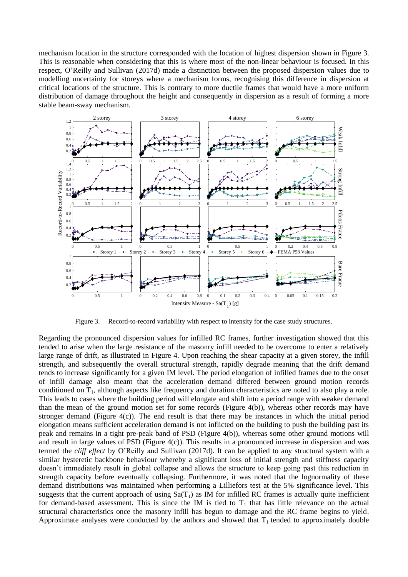mechanism location in the structure corresponded with the location of highest dispersion shown in [Figure 3.](#page-5-0) This is reasonable when considering that this is where most of the non-linear behaviour is focused. In this respect, O'Reilly and Sullivan (2017d) made a distinction between the proposed dispersion values due to modelling uncertainty for storeys where a mechanism forms, recognising this difference in dispersion at critical locations of the structure. This is contrary to more ductile frames that would have a more uniform distribution of damage throughout the height and consequently in dispersion as a result of forming a more stable beam-sway mechanism.



Figure 3. Record-to-record variability with respect to intensity for the case study structures.

<span id="page-5-0"></span>Regarding the pronounced dispersion values for infilled RC frames, further investigation showed that this tended to arise when the large resistance of the masonry infill needed to be overcome to enter a relatively large range of drift, as illustrated in [Figure 4.](#page-6-1) Upon reaching the shear capacity at a given storey, the infill strength, and subsequently the overall structural strength, rapidly degrade meaning that the drift demand tends to increase significantly for a given IM level. The period elongation of infilled frames due to the onset of infill damage also meant that the acceleration demand differed between ground motion records conditioned on  $T_1$ , although aspects like frequency and duration characteristics are noted to also play a role. This leads to cases where the building period will elongate and shift into a period range with weaker demand than the mean of the ground motion set for some records [\(Figure 4\(](#page-6-1)b)), whereas other records may have stronger demand [\(Figure 4\(](#page-6-1)c)). The end result is that there may be instances in which the initial period elongation means sufficient acceleration demand is not inflicted on the building to push the building past its peak and remains in a tight pre-peak band of PSD [\(Figure 4\(](#page-6-1)b)), whereas some other ground motions will and result in large values of PSD [\(Figure 4\(](#page-6-1)c)). This results in a pronounced increase in dispersion and was termed the *cliff effect* by O'Reilly and Sullivan (2017d). It can be applied to any structural system with a similar hysteretic backbone behaviour whereby a significant loss of initial strength and stiffness capacity doesn't immediately result in global collapse and allows the structure to keep going past this reduction in strength capacity before eventually collapsing. Furthermore, it was noted that the lognormality of these demand distributions was maintained when performing a Lilliefors test at the 5% significance level. This suggests that the current approach of using  $Sa(T_1)$  as IM for infilled RC frames is actually quite inefficient for demand-based assessment. This is since the IM is tied to  $T_1$  that has little relevance on the actual structural characteristics once the masonry infill has begun to damage and the RC frame begins to yield. Approximate analyses were conducted by the authors and showed that  $T_1$  tended to approximately double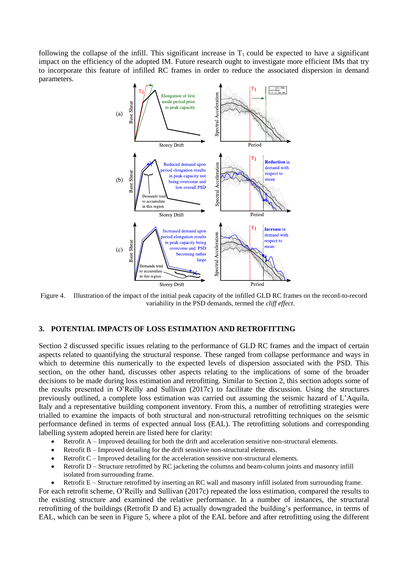following the collapse of the infill. This significant increase in  $T_1$  could be expected to have a significant impact on the efficiency of the adopted IM. Future research ought to investigate more efficient IMs that try to incorporate this feature of infilled RC frames in order to reduce the associated dispersion in demand parameters.



<span id="page-6-1"></span>Figure 4. Illustration of the impact of the initial peak capacity of the infilled GLD RC frames on the record-to-record variability in the PSD demands, termed the *cliff effect*.

#### <span id="page-6-0"></span>**3. POTENTIAL IMPACTS OF LOSS ESTIMATION AND RETROFITTING**

Section [2](#page-1-0) discussed specific issues relating to the performance of GLD RC frames and the impact of certain aspects related to quantifying the structural response. These ranged from collapse performance and ways in which to determine this numerically to the expected levels of dispersion associated with the PSD. This section, on the other hand, discusses other aspects relating to the implications of some of the broader decisions to be made during loss estimation and retrofitting. Similar to Section [2,](#page-1-0) this section adopts some of the results presented in O'Reilly and Sullivan (2017c) to facilitate the discussion. Using the structures previously outlined, a complete loss estimation was carried out assuming the seismic hazard of L'Aquila, Italy and a representative building component inventory. From this, a number of retrofitting strategies were trialled to examine the impacts of both structural and non-structural retrofitting techniques on the seismic performance defined in terms of expected annual loss (EAL). The retrofitting solutions and corresponding labelling system adopted herein are listed here for clarity:

- Retrofit A Improved detailing for both the drift and acceleration sensitive non-structural elements.
- Retrofit B Improved detailing for the drift sensitive non-structural elements.
- Retrofit C Improved detailing for the acceleration sensitive non-structural elements.
- Retrofit D Structure retrofitted by RC jacketing the columns and beam-column joints and masonry infill isolated from surrounding frame.
- Retrofit E Structure retrofitted by inserting an RC wall and masonry infill isolated from surrounding frame.

For each retrofit scheme, O'Reilly and Sullivan (2017c) repeated the loss estimation, compared the results to the existing structure and examined the relative performance. In a number of instances, the structural retrofitting of the buildings (Retrofit D and E) actually downgraded the building's performance, in terms of EAL, which can be seen in [Figure 5,](#page-7-1) where a plot of the EAL before and after retrofitting using the different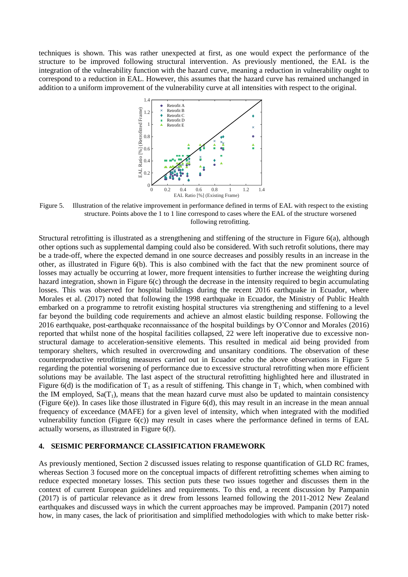techniques is shown. This was rather unexpected at first, as one would expect the performance of the structure to be improved following structural intervention. As previously mentioned, the EAL is the integration of the vulnerability function with the hazard curve, meaning a reduction in vulnerability ought to correspond to a reduction in EAL. However, this assumes that the hazard curve has remained unchanged in addition to a uniform improvement of the vulnerability curve at all intensities with respect to the original.



<span id="page-7-1"></span>Figure 5. Illustration of the relative improvement in performance defined in terms of EAL with respect to the existing structure. Points above the 1 to 1 line correspond to cases where the EAL of the structure worsened following retrofitting.

Structural retrofitting is illustrated as a strengthening and stiffening of the structure in [Figure 6\(](#page-8-0)a), although other options such as supplemental damping could also be considered. With such retrofit solutions, there may be a trade-off, where the expected demand in one source decreases and possibly results in an increase in the other, as illustrated in [Figure 6\(](#page-8-0)b). This is also combined with the fact that the new prominent source of losses may actually be occurring at lower, more frequent intensities to further increase the weighting during hazard integration, shown in [Figure 6\(](#page-8-0)c) through the decrease in the intensity required to begin accumulating losses. This was observed for hospital buildings during the recent 2016 earthquake in Ecuador, where Morales et al. (2017) noted that following the 1998 earthquake in Ecuador, the Ministry of Public Health embarked on a programme to retrofit existing hospital structures via strengthening and stiffening to a level far beyond the building code requirements and achieve an almost elastic building response. Following the 2016 earthquake, post-earthquake reconnaissance of the hospital buildings by O'Connor and Morales (2016) reported that whilst none of the hospital facilities collapsed, 22 were left inoperative due to excessive nonstructural damage to acceleration-sensitive elements. This resulted in medical aid being provided from temporary shelters, which resulted in overcrowding and unsanitary conditions. The observation of these counterproductive retrofitting measures carried out in Ecuador echo the above observations in [Figure 5](#page-7-1) regarding the potential worsening of performance due to excessive structural retrofitting when more efficient solutions may be available. The last aspect of the structural retrofitting highlighted here and illustrated in [Figure 6\(](#page-8-0)d) is the modification of  $T_1$  as a result of stiffening. This change in  $T_1$  which, when combined with the IM employed,  $Sa(T_1)$ , means that the mean hazard curve must also be updated to maintain consistency (Figure  $6(e)$ ). In cases like those illustrated in Figure  $6(d)$ , this may result in an increase in the mean annual frequency of exceedance (MAFE) for a given level of intensity, which when integrated with the modified vulnerability function (Figure  $6(c)$ ) may result in cases where the performance defined in terms of EAL actually worsens, as illustrated in [Figure 6\(](#page-8-0)f).

#### <span id="page-7-0"></span>**4. SEISMIC PERFORMANCE CLASSIFICATION FRAMEWORK**

As previously mentioned, Section [2](#page-1-0) discussed issues relating to response quantification of GLD RC frames, whereas Section [3](#page-6-0) focused more on the conceptual impacts of different retrofitting schemes when aiming to reduce expected monetary losses. This section puts these two issues together and discusses them in the context of current European guidelines and requirements. To this end, a recent discussion by Pampanin (2017) is of particular relevance as it drew from lessons learned following the 2011-2012 New Zealand earthquakes and discussed ways in which the current approaches may be improved. Pampanin (2017) noted how, in many cases, the lack of prioritisation and simplified methodologies with which to make better risk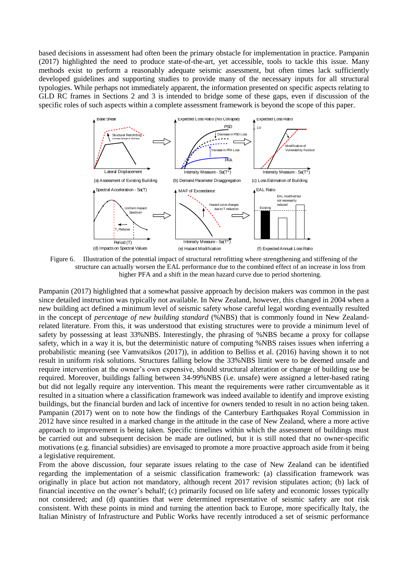based decisions in assessment had often been the primary obstacle for implementation in practice. Pampanin (2017) highlighted the need to produce state-of-the-art, yet accessible, tools to tackle this issue. Many methods exist to perform a reasonably adequate seismic assessment, but often times lack sufficiently developed guidelines and supporting studies to provide many of the necessary inputs for all structural typologies. While perhaps not immediately apparent, the information presented on specific aspects relating to GLD RC frames in Sections [2](#page-1-0) and [3](#page-6-0) is intended to bridge some of these gaps, even if discussion of the specific roles of such aspects within a complete assessment framework is beyond the scope of this paper.



<span id="page-8-0"></span>Figure 6. Illustration of the potential impact of structural retrofitting where strengthening and stiffening of the structure can actually worsen the EAL performance due to the combined effect of an increase in loss from higher PFA and a shift in the mean hazard curve due to period shortening.

Pampanin (2017) highlighted that a somewhat passive approach by decision makers was common in the past since detailed instruction was typically not available. In New Zealand, however, this changed in 2004 when a new building act defined a minimum level of seismic safety whose careful legal wording eventually resulted in the concept of *percentage of new building standard* (%NBS) that is commonly found in New Zealandrelated literature. From this, it was understood that existing structures were to provide a minimum level of safety by possessing at least 33%NBS. Interestingly, the phrasing of %NBS became a proxy for collapse safety, which in a way it is, but the deterministic nature of computing %NBS raises issues when inferring a probabilistic meaning (see Vamvatsikos (2017)), in addition to Belliss et al. (2016) having shown it to not result in uniform risk solutions. Structures falling below the 33%NBS limit were to be deemed unsafe and require intervention at the owner's own expensive, should structural alteration or change of building use be required. Moreover, buildings falling between 34-99%NBS (i.e. unsafe) were assigned a letter-based rating but did not legally require any intervention. This meant the requirements were rather circumventable as it resulted in a situation where a classification framework was indeed available to identify and improve existing buildings, but the financial burden and lack of incentive for owners tended to result in no action being taken. Pampanin (2017) went on to note how the findings of the Canterbury Earthquakes Royal Commission in 2012 have since resulted in a marked change in the attitude in the case of New Zealand, where a more active approach to improvement is being taken. Specific timelines within which the assessment of buildings must be carried out and subsequent decision be made are outlined, but it is still noted that no owner-specific motivations (e.g. financial subsidies) are envisaged to promote a more proactive approach aside from it being a legislative requirement.

From the above discussion, four separate issues relating to the case of New Zealand can be identified regarding the implementation of a seismic classification framework: (a) classification framework was originally in place but action not mandatory, although recent 2017 revision stipulates action; (b) lack of financial incentive on the owner's behalf; (c) primarily focused on life safety and economic losses typically not considered; and (d) quantities that were determined representative of seismic safety are not risk consistent. With these points in mind and turning the attention back to Europe, more specifically Italy, the Italian Ministry of Infrastructure and Public Works have recently introduced a set of seismic performance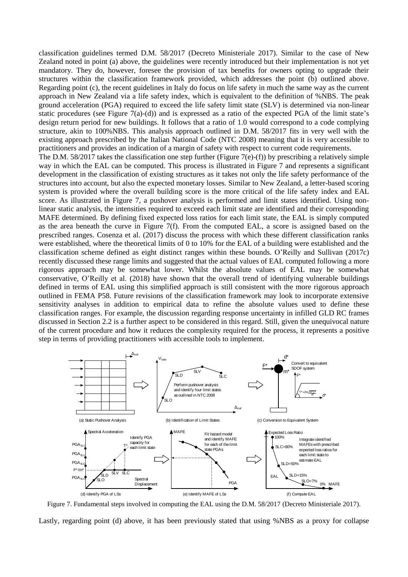classification guidelines termed D.M. 58/2017 (Decreto Ministeriale 2017). Similar to the case of New Zealand noted in point (a) above, the guidelines were recently introduced but their implementation is not yet mandatory. They do, however, foresee the provision of tax benefits for owners opting to upgrade their structures within the classification framework provided, which addresses the point (b) outlined above. Regarding point (c), the recent guidelines in Italy do focus on life safety in much the same way as the current approach in New Zealand via a life safety index, which is equivalent to the definition of %NBS. The peak ground acceleration (PGA) required to exceed the life safety limit state (SLV) is determined via non-linear static procedures (see [Figure 7\(](#page-9-0)a)-(d)) and is expressed as a ratio of the expected PGA of the limit state's design return period for new buildings. It follows that a ratio of 1.0 would correspond to a code complying structure, akin to 100%NBS. This analysis approach outlined in D.M. 58/2017 fits in very well with the existing approach prescribed by the Italian National Code (NTC 2008) meaning that it is very accessible to practitioners and provides an indication of a margin of safety with respect to current code requirements.

The D.M. 58/2017 takes the classification one step further [\(Figure 7\(](#page-9-0)e)-(f)) by prescribing a relatively simple way in which the EAL can be computed. This process is illustrated in [Figure 7](#page-9-0) and represents a significant development in the classification of existing structures as it takes not only the life safety performance of the structures into account, but also the expected monetary losses. Similar to New Zealand, a letter-based scoring system is provided where the overall building score is the more critical of the life safety index and EAL score. As illustrated in [Figure 7,](#page-9-0) a pushover analysis is performed and limit states identified. Using nonlinear static analysis, the intensities required to exceed each limit state are identified and their corresponding MAFE determined. By defining fixed expected loss ratios for each limit state, the EAL is simply computed as the area beneath the curve in [Figure 7\(](#page-9-0)f). From the computed EAL, a score is assigned based on the prescribed ranges. Cosenza et al. (2017) discuss the process with which these different classification ranks were established, where the theoretical limits of 0 to 10% for the EAL of a building were established and the classification scheme defined as eight distinct ranges within these bounds. O'Reilly and Sullivan (2017c) recently discussed these range limits and suggested that the actual values of EAL computed following a more rigorous approach may be somewhat lower. Whilst the absolute values of EAL may be somewhat conservative, O'Reilly et al. (2018) have shown that the overall trend of identifying vulnerable buildings defined in terms of EAL using this simplified approach is still consistent with the more rigorous approach outlined in FEMA P58. Future revisions of the classification framework may look to incorporate extensive sensitivity analyses in addition to empirical data to refine the absolute values used to define these classification ranges. For example, the discussion regarding response uncertainty in infilled GLD RC frames discussed in Section [2.2](#page-3-1) is a further aspect to be considered in this regard. Still, given the unequivocal nature of the current procedure and how it reduces the complexity required for the process, it represents a positive step in terms of providing practitioners with accessible tools to implement.



<span id="page-9-0"></span>Figure 7. Fundamental steps involved in computing the EAL using the D.M. 58/2017 (Decreto Ministeriale 2017).

Lastly, regarding point (d) above, it has been previously stated that using %NBS as a proxy for collapse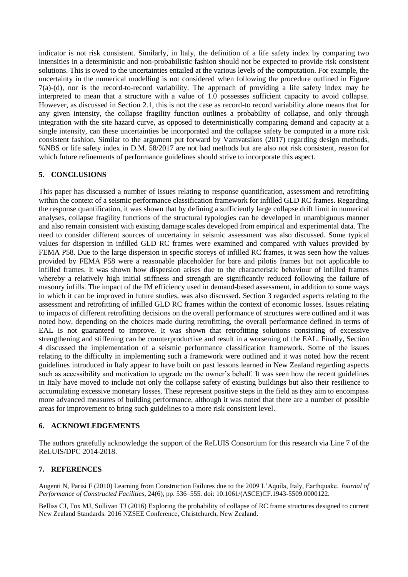indicator is not risk consistent. Similarly, in Italy, the definition of a life safety index by comparing two intensities in a deterministic and non-probabilistic fashion should not be expected to provide risk consistent solutions. This is owed to the uncertainties entailed at the various levels of the computation. For example, the uncertainty in the numerical modelling is not considered when following the procedure outlined in [Figure](#page-9-0)  [7\(](#page-9-0)a)-(d), nor is the record-to-record variability. The approach of providing a life safety index may be interpreted to mean that a structure with a value of 1.0 possesses sufficient capacity to avoid collapse. However, as discussed in Section [2.1,](#page-1-1) this is not the case as record-to record variability alone means that for any given intensity, the collapse fragility function outlines a probability of collapse, and only through integration with the site hazard curve, as opposed to deterministically comparing demand and capacity at a single intensity, can these uncertainties be incorporated and the collapse safety be computed in a more risk consistent fashion. Similar to the argument put forward by Vamvatsikos (2017) regarding design methods, %NBS or life safety index in D.M. 58/2017 are not bad methods but are also not risk consistent, reason for which future refinements of performance guidelines should strive to incorporate this aspect.

## **5. CONCLUSIONS**

This paper has discussed a number of issues relating to response quantification, assessment and retrofitting within the context of a seismic performance classification framework for infilled GLD RC frames. Regarding the response quantification, it was shown that by defining a sufficiently large collapse drift limit in numerical analyses, collapse fragility functions of the structural typologies can be developed in unambiguous manner and also remain consistent with existing damage scales developed from empirical and experimental data. The need to consider different sources of uncertainty in seismic assessment was also discussed. Some typical values for dispersion in infilled GLD RC frames were examined and compared with values provided by FEMA P58. Due to the large dispersion in specific storeys of infilled RC frames, it was seen how the values provided by FEMA P58 were a reasonable placeholder for bare and pilotis frames but not applicable to infilled frames. It was shown how dispersion arises due to the characteristic behaviour of infilled frames whereby a relatively high initial stiffness and strength are significantly reduced following the failure of masonry infills. The impact of the IM efficiency used in demand-based assessment, in addition to some ways in which it can be improved in future studies, was also discussed. Section [3](#page-6-0) regarded aspects relating to the assessment and retrofitting of infilled GLD RC frames within the context of economic losses. Issues relating to impacts of different retrofitting decisions on the overall performance of structures were outlined and it was noted how, depending on the choices made during retrofitting, the overall performance defined in terms of EAL is not guaranteed to improve. It was shown that retrofitting solutions consisting of excessive strengthening and stiffening can be counterproductive and result in a worsening of the EAL. Finally, Section [4](#page-7-0) discussed the implementation of a seismic performance classification framework. Some of the issues relating to the difficulty in implementing such a framework were outlined and it was noted how the recent guidelines introduced in Italy appear to have built on past lessons learned in New Zealand regarding aspects such as accessibility and motivation to upgrade on the owner's behalf. It was seen how the recent guidelines in Italy have moved to include not only the collapse safety of existing buildings but also their resilience to accumulating excessive monetary losses. These represent positive steps in the field as they aim to encompass more advanced measures of building performance, although it was noted that there are a number of possible areas for improvement to bring such guidelines to a more risk consistent level.

## **6. ACKNOWLEDGEMENTS**

The authors gratefully acknowledge the support of the ReLUIS Consortium for this research via Line 7 of the ReLUIS/DPC 2014-2018.

## **7. REFERENCES**

Augenti N, Parisi F (2010) Learning from Construction Failures due to the 2009 L'Aquila, Italy, Earthquake. *Journal of Performance of Constructed Facilities*, 24(6), pp. 536–555. doi: 10.1061/(ASCE)CF.1943-5509.0000122.

Belliss CJ, Fox MJ, Sullivan TJ (2016) Exploring the probability of collapse of RC frame structures designed to current New Zealand Standards. 2016 NZSEE Conference, Christchurch, New Zealand.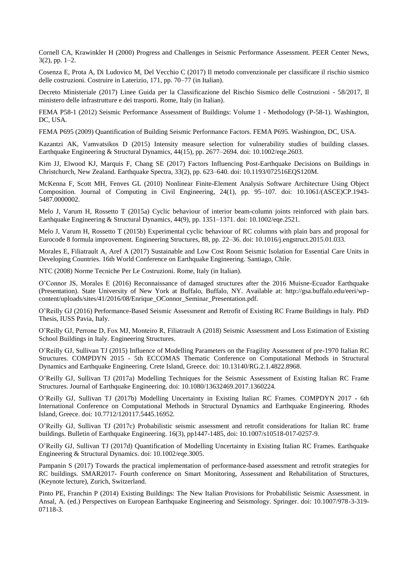Cornell CA, Krawinkler H (2000) Progress and Challenges in Seismic Performance Assessment. PEER Center News, 3(2), pp. 1–2.

Cosenza E, Prota A, Di Ludovico M, Del Vecchio C (2017) Il metodo convenzionale per classificare il rischio sismico delle costruzioni. Costruire in Laterizio, 171, pp. 70–77 (in Italian).

Decreto Ministeriale (2017) Linee Guida per la Classificazione del Rischio Sismico delle Costruzioni - 58/2017, Il ministero delle infrastrutture e dei trasporti. Rome, Italy (in Italian).

FEMA P58-1 (2012) Seismic Performance Assessment of Buildings: Volume 1 - Methodology (P-58-1). Washington, DC, USA.

FEMA P695 (2009) Quantification of Building Seismic Performance Factors. FEMA P695. Washington, DC, USA.

Kazantzi AK, Vamvatsikos D (2015) Intensity measure selection for vulnerability studies of building classes. Earthquake Engineering & Structural Dynamics, 44(15), pp. 2677–2694. doi: 10.1002/eqe.2603.

Kim JJ, Elwood KJ, Marquis F, Chang SE (2017) Factors Influencing Post-Earthquake Decisions on Buildings in Christchurch, New Zealand. Earthquake Spectra, 33(2), pp. 623–640. doi: 10.1193/072516EQS120M.

McKenna F, Scott MH, Fenves GL (2010) Nonlinear Finite-Element Analysis Software Architecture Using Object Composition. Journal of Computing in Civil Engineering, 24(1), pp. 95–107. doi: 10.1061/(ASCE)CP.1943- 5487.0000002.

Melo J, Varum H, Rossetto T (2015a) Cyclic behaviour of interior beam-column joints reinforced with plain bars. Earthquake Engineering & Structural Dynamics, 44(9), pp. 1351–1371. doi: 10.1002/eqe.2521.

Melo J, Varum H, Rossetto T (2015b) Experimental cyclic behaviour of RC columns with plain bars and proposal for Eurocode 8 formula improvement. Engineering Structures, 88, pp. 22–36. doi: 10.1016/j.engstruct.2015.01.033.

Morales E, Filiatrault A, Aref A (2017) Sustainable and Low Cost Room Seismic Isolation for Essential Care Units in Developing Countries. 16th World Conference on Earthquake Engineering. Santiago, Chile.

NTC (2008) Norme Tecniche Per Le Costruzioni. Rome, Italy (in Italian).

O'Connor JS, Morales E (2016) Reconnaissance of damaged structures after the 2016 Muisne-Ecuador Earthquake (Presentation). State University of New York at Buffalo, Buffalo, NY. Available at: http://gsa.buffalo.edu/eeri/wpcontent/uploads/sites/41/2016/08/Enrique\_OConnor\_Seminar\_Presentation.pdf.

O'Reilly GJ (2016) Performance-Based Seismic Assessment and Retrofit of Existing RC Frame Buildings in Italy. PhD Thesis, IUSS Pavia, Italy.

O'Reilly GJ, Perrone D, Fox MJ, Monteiro R, Filiatrault A (2018) Seismic Assessment and Loss Estimation of Existing School Buildings in Italy. Engineering Structures.

O'Reilly GJ, Sullivan TJ (2015) Influence of Modelling Parameters on the Fragility Assessment of pre-1970 Italian RC Structures. COMPDYN 2015 - 5th ECCOMAS Thematic Conference on Computational Methods in Structural Dynamics and Earthquake Engineering. Crete Island, Greece. doi: 10.13140/RG.2.1.4822.8968.

O'Reilly GJ, Sullivan TJ (2017a) Modelling Techniques for the Seismic Assessment of Existing Italian RC Frame Structures. Journal of Earthquake Engineering. doi: 10.1080/13632469.2017.1360224.

O'Reilly GJ, Sullivan TJ (2017b) Modelling Uncertainty in Existing Italian RC Frames. COMPDYN 2017 - 6th International Conference on Computational Methods in Structural Dynamics and Earthquake Engineering. Rhodes Island, Greece. doi: 10.7712/120117.5445.16952.

O'Reilly GJ, Sullivan TJ (2017c) Probabilistic seismic assessment and retrofit considerations for Italian RC frame buildings. Bulletin of Earthquake Engineering. 16(3), pp1447-1485, doi: 10.1007/s10518-017-0257-9.

O'Reilly GJ, Sullivan TJ (2017d) Quantification of Modelling Uncertainty in Existing Italian RC Frames. Earthquake Engineering & Structural Dynamics. doi: 10.1002/eqe.3005.

Pampanin S (2017) Towards the practical implementation of performance-based assessment and retrofit strategies for RC buildings. SMAR2017- Fourth conference on Smart Monitoring, Assessment and Rehabilitation of Structures, (Keynote lecture), Zurich, Switzerland.

Pinto PE, Franchin P (2014) Existing Buildings: The New Italian Provisions for Probabilistic Seismic Assessment. in Ansal, A. (ed.) Perspectives on European Earthquake Engineering and Seismology. Springer. doi: 10.1007/978-3-319- 07118-3.